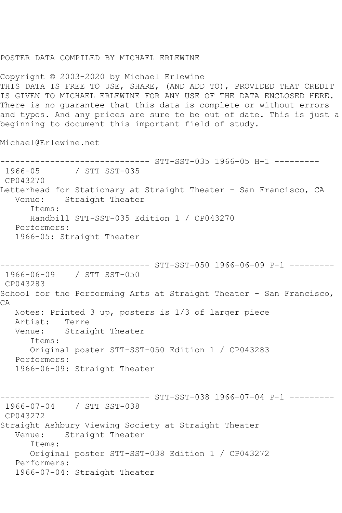## POSTER DATA COMPILED BY MICHAEL ERLEWINE

Copyright © 2003-2020 by Michael Erlewine THIS DATA IS FREE TO USE, SHARE, (AND ADD TO), PROVIDED THAT CREDIT IS GIVEN TO MICHAEL ERLEWINE FOR ANY USE OF THE DATA ENCLOSED HERE. There is no guarantee that this data is complete or without errors and typos. And any prices are sure to be out of date. This is just a beginning to document this important field of study.

Michael@Erlewine.net

------------------------------ STT-SST-035 1966-05 H-1 ---------<br>1966-05 / STT SST-035 1966-05 / STT SST-035 CP043270 Letterhead for Stationary at Straight Theater - San Francisco, CA Venue: Straight Theater Items: Handbill STT-SST-035 Edition 1 / CP043270 Performers: 1966-05: Straight Theater ------------------------------ STT-SST-050 1966-06-09 P-1 --------- 1966-06-09 / STT SST-050 CP043283 School for the Performing Arts at Straight Theater - San Francisco, CA Notes: Printed 3 up, posters is 1/3 of larger piece Artist: Terre<br>Venue: Strai Straight Theater Items: Original poster STT-SST-050 Edition 1 / CP043283 Performers: 1966-06-09: Straight Theater ------------------------------ STT-SST-038 1966-07-04 P-1 --------- 1966-07-04 / STT SST-038 CP043272 Straight Ashbury Viewing Society at Straight Theater<br>Venue: Straight Theater Straight Theater Items: Original poster STT-SST-038 Edition 1 / CP043272 Performers: 1966-07-04: Straight Theater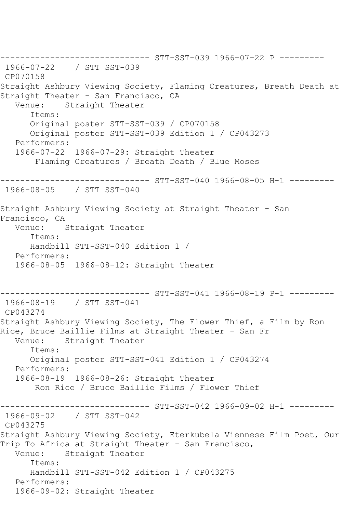------------------------------ STT-SST-039 1966-07-22 P --------- 1966-07-22 / STT SST-039 CP070158 Straight Ashbury Viewing Society, Flaming Creatures, Breath Death at Straight Theater - San Francisco, CA Venue: Straight Theater Items: Original poster STT-SST-039 / CP070158 Original poster STT-SST-039 Edition 1 / CP043273 Performers: 1966-07-22 1966-07-29: Straight Theater Flaming Creatures / Breath Death / Blue Moses ------------------------------ STT-SST-040 1966-08-05 H-1 --------- 1966-08-05 / STT SST-040 Straight Ashbury Viewing Society at Straight Theater - San Francisco, CA Venue: Straight Theater Items: Handbill STT-SST-040 Edition 1 / Performers: 1966-08-05 1966-08-12: Straight Theater ------------------------------ STT-SST-041 1966-08-19 P-1 --------- 1966-08-19 / STT SST-041 CP043274 Straight Ashbury Viewing Society, The Flower Thief, a Film by Ron Rice, Bruce Baillie Films at Straight Theater - San Fr<br>Venue: Straight Theater Straight Theater Items: Original poster STT-SST-041 Edition 1 / CP043274 Performers: 1966-08-19 1966-08-26: Straight Theater Ron Rice / Bruce Baillie Films / Flower Thief ------------------------------ STT-SST-042 1966-09-02 H-1 --------- 1966-09-02 / STT SST-042 CP043275 Straight Ashbury Viewing Society, Eterkubela Viennese Film Poet, Our Trip To Africa at Straight Theater - San Francisco, Venue: Straight Theater Items: Handbill STT-SST-042 Edition 1 / CP043275 Performers: 1966-09-02: Straight Theater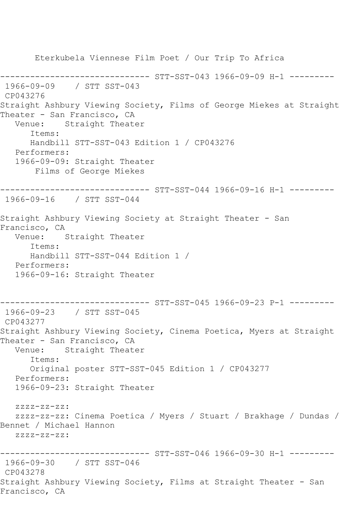Eterkubela Viennese Film Poet / Our Trip To Africa -------------- STT-SST-043 1966-09-09 H-1 ---------1966-09-09 / STT SST-043 CP043276 Straight Ashbury Viewing Society, Films of George Miekes at Straight Theater - San Francisco, CA Venue: Straight Theater Items: Handbill STT-SST-043 Edition 1 / CP043276 Performers: 1966-09-09: Straight Theater Films of George Miekes ------------------------------ STT-SST-044 1966-09-16 H-1 --------- 1966-09-16 / STT SST-044 Straight Ashbury Viewing Society at Straight Theater - San Francisco, CA Venue: Straight Theater Items: Handbill STT-SST-044 Edition 1 / Performers: 1966-09-16: Straight Theater ------------------------------ STT-SST-045 1966-09-23 P-1 --------- 1966-09-23 / STT SST-045 CP043277 Straight Ashbury Viewing Society, Cinema Poetica, Myers at Straight Theater - San Francisco, CA Venue: Straight Theater Items: Original poster STT-SST-045 Edition 1 / CP043277 Performers: 1966-09-23: Straight Theater zzzz-zz-zz: zzzz-zz-zz: Cinema Poetica / Myers / Stuart / Brakhage / Dundas / Bennet / Michael Hannon zzzz-zz-zz: ------------------------------ STT-SST-046 1966-09-30 H-1 --------- 1966-09-30 / STT SST-046 CP043278 Straight Ashbury Viewing Society, Films at Straight Theater - San Francisco, CA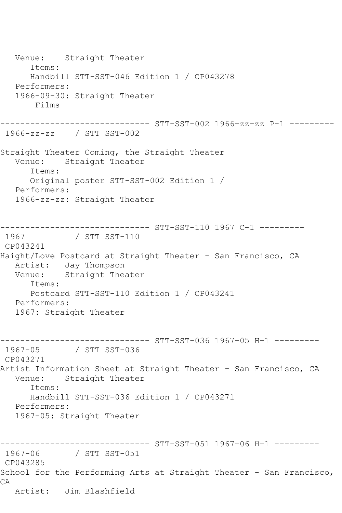Venue: Straight Theater Items: Handbill STT-SST-046 Edition 1 / CP043278 Performers: 1966-09-30: Straight Theater Films ------------------------------ STT-SST-002 1966-zz-zz P-1 --------- 1966-zz-zz / STT SST-002 Straight Theater Coming, the Straight Theater Venue: Straight Theater Items: Original poster STT-SST-002 Edition 1 / Performers: 1966-zz-zz: Straight Theater ------------------------------ STT-SST-110 1967 C-1 ----------<br>1967 / STT SST-110 1967 / STT SST-110 CP043241 Haight/Love Postcard at Straight Theater - San Francisco, CA Artist: Jay Thompson Venue: Straight Theater Items: Postcard STT-SST-110 Edition 1 / CP043241 Performers: 1967: Straight Theater ------------------------------ STT-SST-036 1967-05 H-1 ---------<br>1967-05 / STT SST-036 1967-05 / STT SST-036 CP043271 Artist Information Sheet at Straight Theater - San Francisco, CA Venue: Straight Theater Items: Handbill STT-SST-036 Edition 1 / CP043271 Performers: 1967-05: Straight Theater ------------------------------ STT-SST-051 1967-06 H-1 ---------<br>1967-06 / STT SST-051 1967-06 / STT SST-051 CP043285 School for the Performing Arts at Straight Theater - San Francisco, CA Artist: Jim Blashfield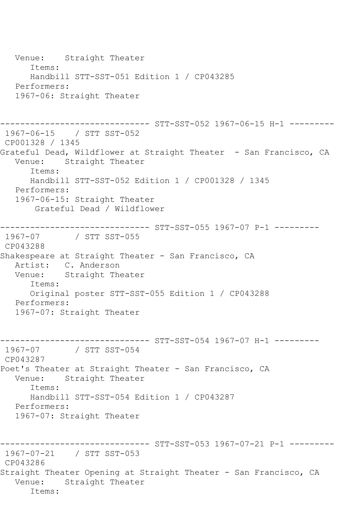Venue: Straight Theater Items: Handbill STT-SST-051 Edition 1 / CP043285 Performers: 1967-06: Straight Theater ------------------------------ STT-SST-052 1967-06-15 H-1 --------- 1967-06-15 / STT SST-052 CP001328 / 1345 Grateful Dead, Wildflower at Straight Theater - San Francisco, CA Venue: Straight Theater Items: Handbill STT-SST-052 Edition 1 / CP001328 / 1345 Performers: 1967-06-15: Straight Theater Grateful Dead / Wildflower ------------------------------ STT-SST-055 1967-07 P-1 ---------<br>1967-07 / STT SST-055 1967-07 / STT SST-055 CP043288 Shakespeare at Straight Theater - San Francisco, CA Artist: C. Anderson Venue: Straight Theater Items: Original poster STT-SST-055 Edition 1 / CP043288 Performers: 1967-07: Straight Theater ------------------------------ STT-SST-054 1967-07 H-1 ---------<br>1967-07 / STT SST-054 1967-07 / STT SST-054 CP043287 Poet's Theater at Straight Theater - San Francisco, CA Venue: Straight Theater Items: Handbill STT-SST-054 Edition 1 / CP043287 Performers: 1967-07: Straight Theater ------------------------------ STT-SST-053 1967-07-21 P-1 --------- 1967-07-21 / STT SST-053 CP043286 Straight Theater Opening at Straight Theater - San Francisco, CA Venue: Straight Theater Items: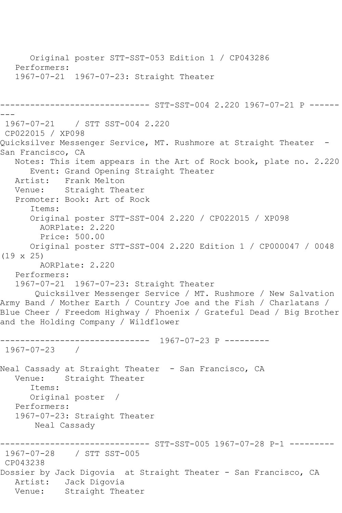Original poster STT-SST-053 Edition 1 / CP043286 Performers: 1967-07-21 1967-07-23: Straight Theater ------------------------------ STT-SST-004 2.220 1967-07-21 P ------ --- 1967-07-21 / STT SST-004 2.220 CP022015 / XP098 Quicksilver Messenger Service, MT. Rushmore at Straight Theater - San Francisco, CA Notes: This item appears in the Art of Rock book, plate no. 2.220 Event: Grand Opening Straight Theater Artist: Frank Melton Venue: Straight Theater Promoter: Book: Art of Rock Items: Original poster STT-SST-004 2.220 / CP022015 / XP098 AORPlate: 2.220 Price: 500.00 Original poster STT-SST-004 2.220 Edition 1 / CP000047 / 0048 (19 x 25) AORPlate: 2.220 Performers: 1967-07-21 1967-07-23: Straight Theater Quicksilver Messenger Service / MT. Rushmore / New Salvation Army Band / Mother Earth / Country Joe and the Fish / Charlatans / Blue Cheer / Freedom Highway / Phoenix / Grateful Dead / Big Brother and the Holding Company / Wildflower ------------------------------ 1967-07-23 P --------- 1967-07-23 / Neal Cassady at Straight Theater - San Francisco, CA Venue: Straight Theater Items: Original poster / Performers: 1967-07-23: Straight Theater Neal Cassady ------------------------------ STT-SST-005 1967-07-28 P-1 --------- 1967-07-28 / STT SST-005 CP043238 Dossier by Jack Digovia at Straight Theater - San Francisco, CA Artist: Jack Digovia Venue: Straight Theater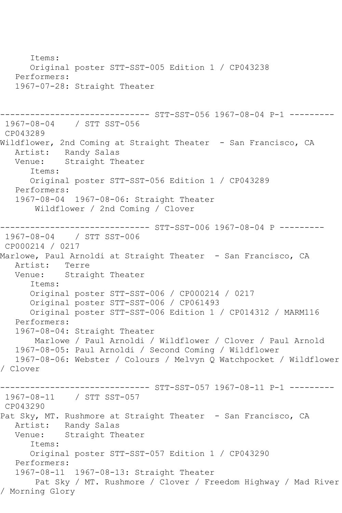Items: Original poster STT-SST-005 Edition 1 / CP043238 Performers: 1967-07-28: Straight Theater ------------------------------ STT-SST-056 1967-08-04 P-1 --------- 1967-08-04 / STT SST-056 CP043289 Wildflower, 2nd Coming at Straight Theater - San Francisco, CA Artist: Randy Salas Venue: Straight Theater Items: Original poster STT-SST-056 Edition 1 / CP043289 Performers: 1967-08-04 1967-08-06: Straight Theater Wildflower / 2nd Coming / Clover ------------------------------ STT-SST-006 1967-08-04 P --------- 1967-08-04 / STT SST-006 CP000214 / 0217 Marlowe, Paul Arnoldi at Straight Theater - San Francisco, CA Artist: Terre<br>Venue: Strai Straight Theater Items: Original poster STT-SST-006 / CP000214 / 0217 Original poster STT-SST-006 / CP061493 Original poster STT-SST-006 Edition 1 / CP014312 / MARM116 Performers: 1967-08-04: Straight Theater Marlowe / Paul Arnoldi / Wildflower / Clover / Paul Arnold 1967-08-05: Paul Arnoldi / Second Coming / Wildflower 1967-08-06: Webster / Colours / Melvyn Q Watchpocket / Wildflower / Clover ------------------------------ STT-SST-057 1967-08-11 P-1 --------- 1967-08-11 / STT SST-057 CP043290 Pat Sky, MT. Rushmore at Straight Theater - San Francisco, CA Artist: Randy Salas Venue: Straight Theater Items: Original poster STT-SST-057 Edition 1 / CP043290 Performers: 1967-08-11 1967-08-13: Straight Theater Pat Sky / MT. Rushmore / Clover / Freedom Highway / Mad River / Morning Glory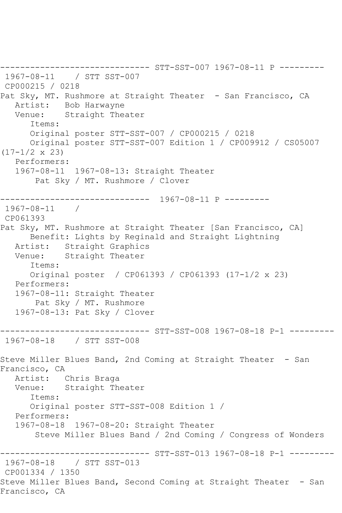------------------------------ STT-SST-007 1967-08-11 P --------- 1967-08-11 / STT SST-007 CP000215 / 0218 Pat Sky, MT. Rushmore at Straight Theater - San Francisco, CA Artist: Bob Harwayne Venue: Straight Theater Items: Original poster STT-SST-007 / CP000215 / 0218 Original poster STT-SST-007 Edition 1 / CP009912 / CS05007  $(17-1/2 \times 23)$  Performers: 1967-08-11 1967-08-13: Straight Theater Pat Sky / MT. Rushmore / Clover ------------------------------ 1967-08-11 P --------- 1967-08-11 / CP061393 Pat Sky, MT. Rushmore at Straight Theater [San Francisco, CA] Benefit: Lights by Reginald and Straight Lightning Artist: Straight Graphics Venue: Straight Theater Items: Original poster / CP061393 / CP061393 (17-1/2 x 23) Performers: 1967-08-11: Straight Theater Pat Sky / MT. Rushmore 1967-08-13: Pat Sky / Clover ------------------------------ STT-SST-008 1967-08-18 P-1 --------- 1967-08-18 / STT SST-008 Steve Miller Blues Band, 2nd Coming at Straight Theater - San Francisco, CA Artist: Chris Braga Venue: Straight Theater Items: Original poster STT-SST-008 Edition 1 / Performers: 1967-08-18 1967-08-20: Straight Theater Steve Miller Blues Band / 2nd Coming / Congress of Wonders -------------- STT-SST-013 1967-08-18 P-1 ---------1967-08-18 / STT SST-013 CP001334 / 1350 Steve Miller Blues Band, Second Coming at Straight Theater - San Francisco, CA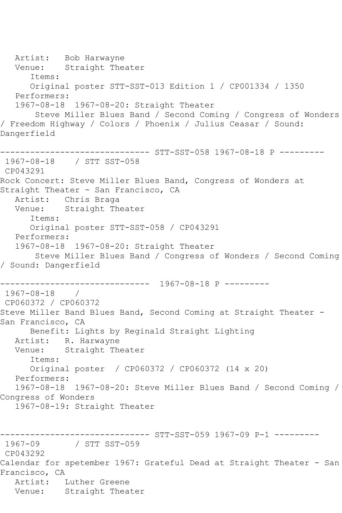Artist: Bob Harwayne Venue: Straight Theater Items: Original poster STT-SST-013 Edition 1 / CP001334 / 1350 Performers: 1967-08-18 1967-08-20: Straight Theater Steve Miller Blues Band / Second Coming / Congress of Wonders / Freedom Highway / Colors / Phoenix / Julius Ceasar / Sound: Dangerfield ------------------------------ STT-SST-058 1967-08-18 P --------- 1967-08-18 / STT SST-058 CP043291 Rock Concert: Steve Miller Blues Band, Congress of Wonders at Straight Theater - San Francisco, CA Artist: Chris Braga Venue: Straight Theater Items: Original poster STT-SST-058 / CP043291 Performers: 1967-08-18 1967-08-20: Straight Theater Steve Miller Blues Band / Congress of Wonders / Second Coming / Sound: Dangerfield ------------------------------ 1967-08-18 P --------- 1967-08-18 / CP060372 / CP060372 Steve Miller Band Blues Band, Second Coming at Straight Theater - San Francisco, CA Benefit: Lights by Reginald Straight Lighting Artist: R. Harwayne Venue: Straight Theater Items: Original poster / CP060372 / CP060372 (14 x 20) Performers: 1967-08-18 1967-08-20: Steve Miller Blues Band / Second Coming / Congress of Wonders 1967-08-19: Straight Theater ------------------------------ STT-SST-059 1967-09 P-1 ----------<br>1967-09 / STT SST-059 1967-09 / STT SST-059 CP043292 Calendar for spetember 1967: Grateful Dead at Straight Theater - San Francisco, CA Artist: Luther Greene Venue: Straight Theater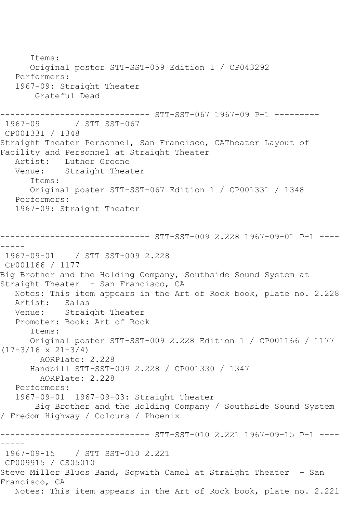Items: Original poster STT-SST-059 Edition 1 / CP043292 Performers: 1967-09: Straight Theater Grateful Dead ------------------------------ STT-SST-067 1967-09 P-1 ---------<br>1967-09 / STT SST-067 1967-09 / STT SST-067 CP001331 / 1348 Straight Theater Personnel, San Francisco, CATheater Layout of Facility and Personnel at Straight Theater Artist: Luther Greene<br>Venue: Straight Thea Straight Theater Items: Original poster STT-SST-067 Edition 1 / CP001331 / 1348 Performers: 1967-09: Straight Theater ------------------------------ STT-SST-009 2.228 1967-09-01 P-1 ---- ----- 1967-09-01 / STT SST-009 2.228 CP001166 / 1177 Big Brother and the Holding Company, Southside Sound System at Straight Theater - San Francisco, CA Notes: This item appears in the Art of Rock book, plate no. 2.228<br>Artist: Salas Artist: Venue: Straight Theater Promoter: Book: Art of Rock Items: Original poster STT-SST-009 2.228 Edition 1 / CP001166 / 1177 (17-3/16 x 21-3/4) AORPlate: 2.228 Handbill STT-SST-009 2.228 / CP001330 / 1347 AORPlate: 2.228 Performers: 1967-09-01 1967-09-03: Straight Theater Big Brother and the Holding Company / Southside Sound System / Fredom Highway / Colours / Phoenix ---------- STT-SST-010 2.221 1967-09-15 P-1 --------- 1967-09-15 / STT SST-010 2.221 CP009915 / CS05010 Steve Miller Blues Band, Sopwith Camel at Straight Theater - San Francisco, CA Notes: This item appears in the Art of Rock book, plate no. 2.221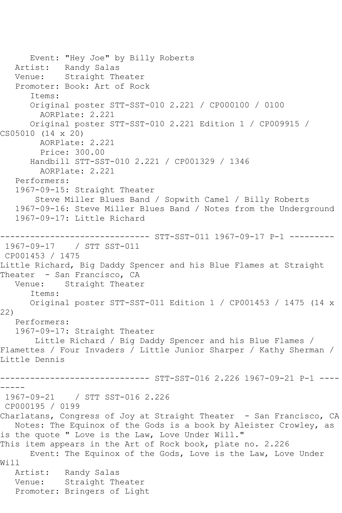Event: "Hey Joe" by Billy Roberts Artist: Randy Salas Venue: Straight Theater Promoter: Book: Art of Rock Items: Original poster STT-SST-010 2.221 / CP000100 / 0100 AORPlate: 2.221 Original poster STT-SST-010 2.221 Edition 1 / CP009915 / CS05010 (14 x 20) AORPlate: 2.221 Price: 300.00 Handbill STT-SST-010 2.221 / CP001329 / 1346 AORPlate: 2.221 Performers: 1967-09-15: Straight Theater Steve Miller Blues Band / Sopwith Camel / Billy Roberts 1967-09-16: Steve Miller Blues Band / Notes from the Underground 1967-09-17: Little Richard ------------------------------ STT-SST-011 1967-09-17 P-1 --------- 1967-09-17 / STT SST-011 CP001453 / 1475 Little Richard, Big Daddy Spencer and his Blue Flames at Straight Theater - San Francisco, CA Venue: Straight Theater Items: Original poster STT-SST-011 Edition 1 / CP001453 / 1475 (14 x 22) Performers: 1967-09-17: Straight Theater Little Richard / Big Daddy Spencer and his Blue Flames / Flamettes / Four Invaders / Little Junior Sharper / Kathy Sherman / Little Dennis ------------------------------ STT-SST-016 2.226 1967-09-21 P-1 ---- ----- 1967-09-21 / STT SST-016 2.226 CP000195 / 0199 Charlatans, Congress of Joy at Straight Theater - San Francisco, CA Notes: The Equinox of the Gods is a book by Aleister Crowley, as is the quote " Love is the Law, Love Under Will." This item appears in the Art of Rock book, plate no. 2.226 Event: The Equinox of the Gods, Love is the Law, Love Under Will Artist: Randy Salas Venue: Straight Theater Promoter: Bringers of Light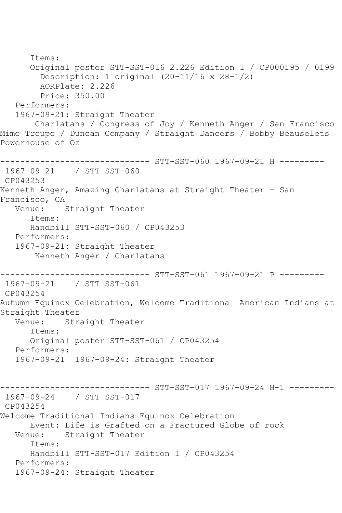Items: Original poster STT-SST-016 2.226 Edition 1 / CP000195 / 0199 Description: 1 original (20-11/16 x 28-1/2) AORPlate: 2.226 Price: 350.00 Performers: 1967-09-21: Straight Theater Charlatans / Congress of Joy / Kenneth Anger / San Francisco Mime Troupe / Duncan Company / Straight Dancers / Bobby Beauselets Powerhouse of Oz ------------------------------ STT-SST-060 1967-09-21 H --------- 1967-09-21 / STT SST-060 CP043253 Kenneth Anger, Amazing Charlatans at Straight Theater - San Francisco, CA Venue: Straight Theater Items: Handbill STT-SST-060 / CP043253 Performers: 1967-09-21: Straight Theater Kenneth Anger / Charlatans ------------------------------ STT-SST-061 1967-09-21 P --------- 1967-09-21 / STT SST-061 CP043254 Autumn Equinox Celebration, Welcome Traditional American Indians at Straight Theater Venue: Straight Theater Items: Original poster STT-SST-061 / CP043254 Performers: 1967-09-21 1967-09-24: Straight Theater ------------------------------ STT-SST-017 1967-09-24 H-1 --------- 1967-09-24 / STT SST-017 CP043254 Welcome Traditional Indians Equinox Celebration Event: Life is Grafted on a Fractured Globe of rock Straight Theater Items: Handbill STT-SST-017 Edition 1 / CP043254 Performers: 1967-09-24: Straight Theater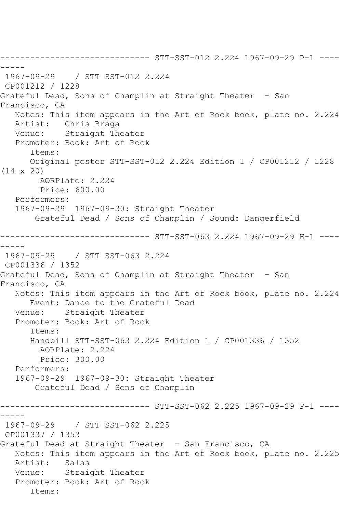------------------------------ STT-SST-012 2.224 1967-09-29 P-1 ---- ----- 1967-09-29 / STT SST-012 2.224 CP001212 / 1228 Grateful Dead, Sons of Champlin at Straight Theater - San Francisco, CA Notes: This item appears in the Art of Rock book, plate no. 2.224 Artist: Chris Braga Venue: Straight Theater Promoter: Book: Art of Rock Items: Original poster STT-SST-012 2.224 Edition 1 / CP001212 / 1228 (14 x 20) AORPlate: 2.224 Price: 600.00 Performers: 1967-09-29 1967-09-30: Straight Theater Grateful Dead / Sons of Champlin / Sound: Dangerfield ------------------------------ STT-SST-063 2.224 1967-09-29 H-1 ---- ----- 1967-09-29 / STT SST-063 2.224 CP001336 / 1352 Grateful Dead, Sons of Champlin at Straight Theater - San Francisco, CA Notes: This item appears in the Art of Rock book, plate no. 2.224 Event: Dance to the Grateful Dead Venue: Straight Theater Promoter: Book: Art of Rock Items: Handbill STT-SST-063 2.224 Edition 1 / CP001336 / 1352 AORPlate: 2.224 Price: 300.00 Performers: 1967-09-29 1967-09-30: Straight Theater Grateful Dead / Sons of Champlin ------------------------------ STT-SST-062 2.225 1967-09-29 P-1 ---- ----- 1967-09-29 / STT SST-062 2.225 CP001337 / 1353 Grateful Dead at Straight Theater - San Francisco, CA Notes: This item appears in the Art of Rock book, plate no. 2.225 Artist: Salas Venue: Straight Theater Promoter: Book: Art of Rock Items: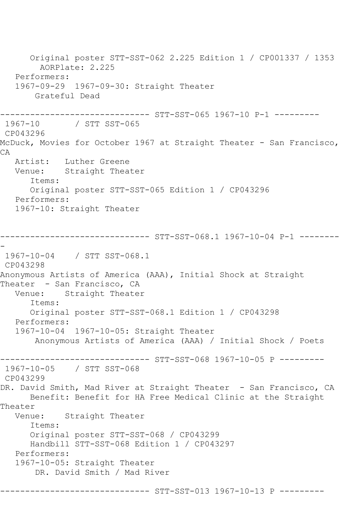Original poster STT-SST-062 2.225 Edition 1 / CP001337 / 1353 AORPlate: 2.225 Performers: 1967-09-29 1967-09-30: Straight Theater Grateful Dead ------------------------------ STT-SST-065 1967-10 P-1 ---------<br>1967-10 / STT SST-065 1967-10 / STT SST-065 CP043296 McDuck, Movies for October 1967 at Straight Theater - San Francisco, CA Artist: Luther Greene<br>Venue: Straight Thea Straight Theater Items: Original poster STT-SST-065 Edition 1 / CP043296 Performers: 1967-10: Straight Theater ------------------------------ STT-SST-068.1 1967-10-04 P-1 -------- - 1967-10-04 / STT SST-068.1 CP043298 Anonymous Artists of America (AAA), Initial Shock at Straight Theater - San Francisco, CA Venue: Straight Theater Items: Original poster STT-SST-068.1 Edition 1 / CP043298 Performers: 1967-10-04 1967-10-05: Straight Theater Anonymous Artists of America (AAA) / Initial Shock / Poets ------------------------------ STT-SST-068 1967-10-05 P --------- 1967-10-05 / STT SST-068 CP043299 DR. David Smith, Mad River at Straight Theater - San Francisco, CA Benefit: Benefit for HA Free Medical Clinic at the Straight Theater Venue: Straight Theater Items: Original poster STT-SST-068 / CP043299 Handbill STT-SST-068 Edition 1 / CP043297 Performers: 1967-10-05: Straight Theater DR. David Smith / Mad River

------------------------------ STT-SST-013 1967-10-13 P ---------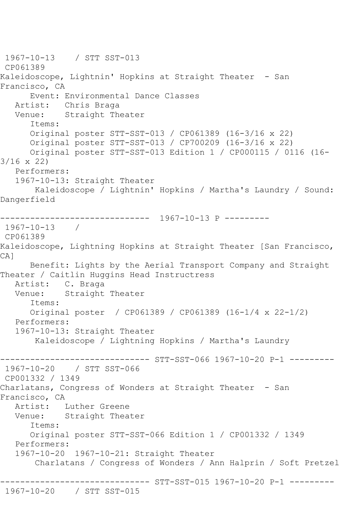1967-10-13 / STT SST-013 CP061389 Kaleidoscope, Lightnin' Hopkins at Straight Theater - San Francisco, CA Event: Environmental Dance Classes<br>Artist: Chris Braga Artist: Chris Braga<br>Venue: Straight The Straight Theater Items: Original poster STT-SST-013 / CP061389 (16-3/16 x 22) Original poster STT-SST-013 / CP700209 (16-3/16 x 22) Original poster STT-SST-013 Edition 1 / CP000115 / 0116 (16- 3/16 x 22) Performers: 1967-10-13: Straight Theater Kaleidoscope / Lightnin' Hopkins / Martha's Laundry / Sound: Dangerfield ------------------------------ 1967-10-13 P ---------  $1967 - 10 - 13$ CP061389 Kaleidoscope, Lightning Hopkins at Straight Theater [San Francisco, CA] Benefit: Lights by the Aerial Transport Company and Straight Theater / Caitlin Huggins Head Instructress Artist: C. Braga<br>Venue: Straight Straight Theater Items: Original poster / CP061389 / CP061389 (16-1/4 x 22-1/2) Performers: 1967-10-13: Straight Theater Kaleidoscope / Lightning Hopkins / Martha's Laundry ----------------------------- STT-SST-066 1967-10-20 P-1 ---------<br>1967-10-20 / STT SST-066 1967-10-20 / STT SST-066 CP001332 / 1349 Charlatans, Congress of Wonders at Straight Theater - San Francisco, CA<br>Artist: I Luther Greene Venue: Straight Theater Items: Original poster STT-SST-066 Edition 1 / CP001332 / 1349 Performers: 1967-10-20 1967-10-21: Straight Theater Charlatans / Congress of Wonders / Ann Halprin / Soft Pretzel ------------------------------ STT-SST-015 1967-10-20 P-1 --------- 1967-10-20 / STT SST-015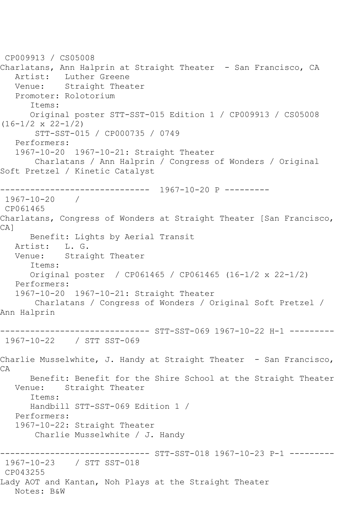CP009913 / CS05008 Charlatans, Ann Halprin at Straight Theater - San Francisco, CA Artist: Luther Greene Venue: Straight Theater Promoter: Rolotorium Items: Original poster STT-SST-015 Edition 1 / CP009913 / CS05008  $(16-1/2 \times 22-1/2)$  STT-SST-015 / CP000735 / 0749 Performers: 1967-10-20 1967-10-21: Straight Theater Charlatans / Ann Halprin / Congress of Wonders / Original Soft Pretzel / Kinetic Catalyst ------------------------------ 1967-10-20 P --------- 1967-10-20 / CP061465 Charlatans, Congress of Wonders at Straight Theater [San Francisco, CA] Benefit: Lights by Aerial Transit Artist: L. G. Venue: Straight Theater Items: Original poster / CP061465 / CP061465 (16-1/2 x 22-1/2) Performers: 1967-10-20 1967-10-21: Straight Theater Charlatans / Congress of Wonders / Original Soft Pretzel / Ann Halprin ------------------------------ STT-SST-069 1967-10-22 H-1 --------- 1967-10-22 / STT SST-069 Charlie Musselwhite, J. Handy at Straight Theater - San Francisco, CA Benefit: Benefit for the Shire School at the Straight Theater Venue: Straight Theater Items: Handbill STT-SST-069 Edition 1 / Performers: 1967-10-22: Straight Theater Charlie Musselwhite / J. Handy ------------------------------ STT-SST-018 1967-10-23 P-1 --------- 1967-10-23 / STT SST-018 CP043255 Lady AOT and Kantan, Noh Plays at the Straight Theater Notes: B&W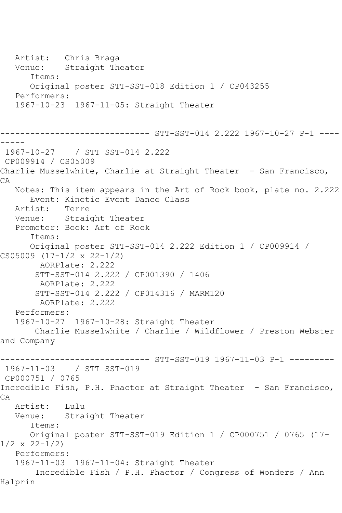Artist: Chris Braga Venue: Straight Theater Items: Original poster STT-SST-018 Edition 1 / CP043255 Performers: 1967-10-23 1967-11-05: Straight Theater ------------------------------ STT-SST-014 2.222 1967-10-27 P-1 ---- ----- 1967-10-27 / STT SST-014 2.222 CP009914 / CS05009 Charlie Musselwhite, Charlie at Straight Theater - San Francisco, CA Notes: This item appears in the Art of Rock book, plate no. 2.222 Event: Kinetic Event Dance Class Artist: Terre Venue: Straight Theater Promoter: Book: Art of Rock Items: Original poster STT-SST-014 2.222 Edition 1 / CP009914 / CS05009 (17-1/2 x 22-1/2) AORPlate: 2.222 STT-SST-014 2.222 / CP001390 / 1406 AORPlate: 2.222 STT-SST-014 2.222 / CP014316 / MARM120 AORPlate: 2.222 Performers: 1967-10-27 1967-10-28: Straight Theater Charlie Musselwhite / Charlie / Wildflower / Preston Webster and Company ------------------------------ STT-SST-019 1967-11-03 P-1 --------- 1967-11-03 / STT SST-019 CP000751 / 0765 Incredible Fish, P.H. Phactor at Straight Theater - San Francisco, CA Artist: Lulu Venue: Straight Theater Items: Original poster STT-SST-019 Edition 1 / CP000751 / 0765 (17-  $1/2 \times 22 - 1/2$  Performers: 1967-11-03 1967-11-04: Straight Theater Incredible Fish / P.H. Phactor / Congress of Wonders / Ann Halprin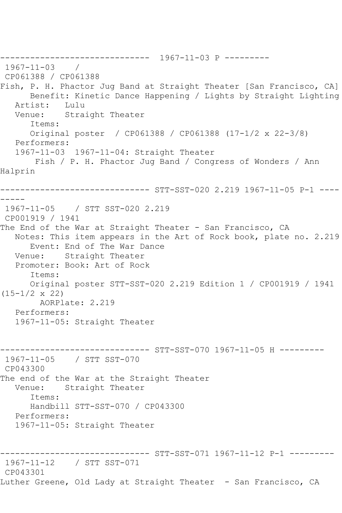------------------------------ 1967-11-03 P --------- 1967-11-03 / CP061388 / CP061388 Fish, P. H. Phactor Jug Band at Straight Theater [San Francisco, CA] Benefit: Kinetic Dance Happening / Lights by Straight Lighting<br>ist: Lulu Artist: Venue: Straight Theater Items: Original poster / CP061388 / CP061388 (17-1/2 x 22-3/8) Performers: 1967-11-03 1967-11-04: Straight Theater Fish / P. H. Phactor Jug Band / Congress of Wonders / Ann Halprin ------------------------------ STT-SST-020 2.219 1967-11-05 P-1 ---- ----- 1967-11-05 / STT SST-020 2.219 CP001919 / 1941 The End of the War at Straight Theater - San Francisco, CA Notes: This item appears in the Art of Rock book, plate no. 2.219 Event: End of The War Dance Venue: Straight Theater Promoter: Book: Art of Rock Items: Original poster STT-SST-020 2.219 Edition 1 / CP001919 / 1941 (15-1/2 x 22) AORPlate: 2.219 Performers: 1967-11-05: Straight Theater ------------------------------ STT-SST-070 1967-11-05 H --------- 1967-11-05 / STT SST-070 CP043300 The end of the War at the Straight Theater Venue: Straight Theater Items: Handbill STT-SST-070 / CP043300 Performers: 1967-11-05: Straight Theater ------------------------------ STT-SST-071 1967-11-12 P-1 --------- 1967-11-12 / STT SST-071 CP043301 Luther Greene, Old Lady at Straight Theater - San Francisco, CA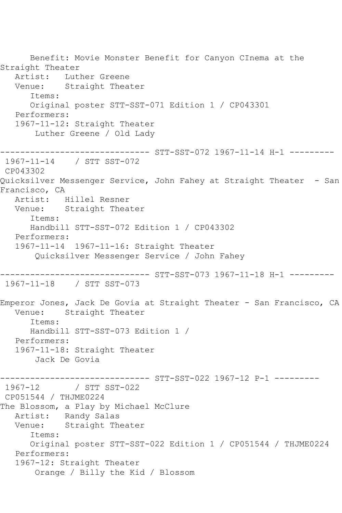Benefit: Movie Monster Benefit for Canyon CInema at the Straight Theater Artist: Luther Greene Venue: Straight Theater Items: Original poster STT-SST-071 Edition 1 / CP043301 Performers: 1967-11-12: Straight Theater Luther Greene / Old Lady ------------------------------ STT-SST-072 1967-11-14 H-1 --------- 1967-11-14 / STT SST-072 CP043302 Quicksilver Messenger Service, John Fahey at Straight Theater - San Francisco, CA Artist: Hillel Resner Venue: Straight Theater Items: Handbill STT-SST-072 Edition 1 / CP043302 Performers: 1967-11-14 1967-11-16: Straight Theater Quicksilver Messenger Service / John Fahey ------------------------------ STT-SST-073 1967-11-18 H-1 --------- 1967-11-18 / STT SST-073 Emperor Jones, Jack De Govia at Straight Theater - San Francisco, CA Venue: Straight Theater Items: Handbill STT-SST-073 Edition 1 / Performers: 1967-11-18: Straight Theater Jack De Govia ------------------------------- STT-SST-022 1967-12 P-1 ----------<br>1967-12 / STT SST-022 1967-12 / STT SST-022 CP051544 / THJME0224 The Blossom, a Play by Michael McClure Artist: Randy Salas<br>Venue: Straight The Straight Theater Items: Original poster STT-SST-022 Edition 1 / CP051544 / THJME0224 Performers: 1967-12: Straight Theater Orange / Billy the Kid / Blossom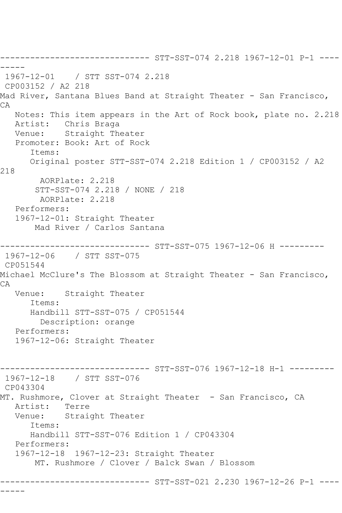------------------------------ STT-SST-074 2.218 1967-12-01 P-1 ---- ----- 1967-12-01 / STT SST-074 2.218 CP003152 / A2 218 Mad River, Santana Blues Band at Straight Theater - San Francisco, CA Notes: This item appears in the Art of Rock book, plate no. 2.218 Artist: Chris Braga Venue: Straight Theater Promoter: Book: Art of Rock Items: Original poster STT-SST-074 2.218 Edition 1 / CP003152 / A2 218 AORPlate: 2.218 STT-SST-074 2.218 / NONE / 218 AORPlate: 2.218 Performers: 1967-12-01: Straight Theater Mad River / Carlos Santana ------------------------------ STT-SST-075 1967-12-06 H --------- 1967-12-06 / STT SST-075 CP051544 Michael McClure's The Blossom at Straight Theater - San Francisco, CA Venue: Straight Theater Items: Handbill STT-SST-075 / CP051544 Description: orange Performers: 1967-12-06: Straight Theater ------------------------------ STT-SST-076 1967-12-18 H-1 --------- 1967-12-18 / STT SST-076 CP043304 MT. Rushmore, Clover at Straight Theater - San Francisco, CA Artist: Terre Venue: Straight Theater Items: Handbill STT-SST-076 Edition 1 / CP043304 Performers: 1967-12-18 1967-12-23: Straight Theater MT. Rushmore / Clover / Balck Swan / Blossom ------------------------------ STT-SST-021 2.230 1967-12-26 P-1 ----

-----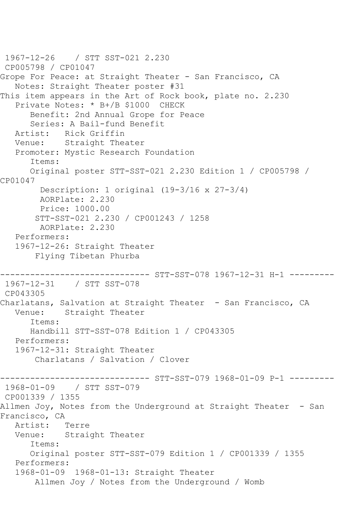```
1967-12-26 / STT SST-021 2.230
CP005798 / CP01047
Grope For Peace: at Straight Theater - San Francisco, CA
   Notes: Straight Theater poster #31
This item appears in the Art of Rock book, plate no. 2.230
   Private Notes: * B+/B $1000 CHECK
      Benefit: 2nd Annual Grope for Peace
       Series: A Bail-fund Benefit
   Artist: Rick Griffin
   Venue: Straight Theater
   Promoter: Mystic Research Foundation
       Items:
      Original poster STT-SST-021 2.230 Edition 1 / CP005798 / 
CP01047
         Description: 1 original (19-3/16 x 27-3/4)
        AORPlate: 2.230 
        Price: 1000.00
        STT-SST-021 2.230 / CP001243 / 1258
         AORPlate: 2.230 
   Performers:
   1967-12-26: Straight Theater
        Flying Tibetan Phurba
------------------------------ STT-SST-078 1967-12-31 H-1 ---------
1967-12-31 / STT SST-078
CP043305
Charlatans, Salvation at Straight Theater - San Francisco, CA
   Venue: Straight Theater
       Items:
      Handbill STT-SST-078 Edition 1 / CP043305
   Performers:
   1967-12-31: Straight Theater
       Charlatans / Salvation / Clover
                      --------- STT-SST-079 1968-01-09 P-1 ---------
1968-01-09 / STT SST-079
CP001339 / 1355
Allmen Joy, Notes from the Underground at Straight Theater - San 
Francisco, CA<br>Artist: Terre
  Artist:<br>Venue:
           Straight Theater
       Items:
       Original poster STT-SST-079 Edition 1 / CP001339 / 1355
   Performers:
   1968-01-09 1968-01-13: Straight Theater
        Allmen Joy / Notes from the Underground / Womb
```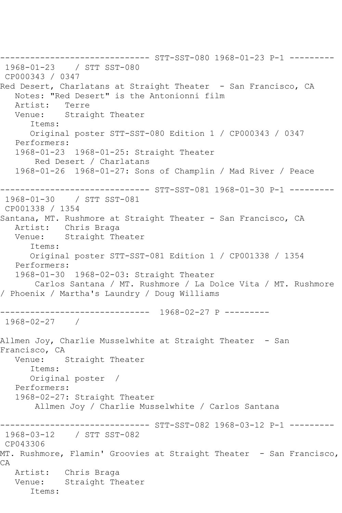------------------------------ STT-SST-080 1968-01-23 P-1 --------- 1968-01-23 / STT SST-080 CP000343 / 0347 Red Desert, Charlatans at Straight Theater - San Francisco, CA Notes: "Red Desert" is the Antonionni film Artist: Venue: Straight Theater Items: Original poster STT-SST-080 Edition 1 / CP000343 / 0347 Performers: 1968-01-23 1968-01-25: Straight Theater Red Desert / Charlatans 1968-01-26 1968-01-27: Sons of Champlin / Mad River / Peace ------------------------------ STT-SST-081 1968-01-30 P-1 --------- 1968-01-30 / STT SST-081 CP001338 / 1354 Santana, MT. Rushmore at Straight Theater - San Francisco, CA Artist: Chris Braga Venue: Straight Theater Items: Original poster STT-SST-081 Edition 1 / CP001338 / 1354 Performers: 1968-01-30 1968-02-03: Straight Theater Carlos Santana / MT. Rushmore / La Dolce Vita / MT. Rushmore / Phoenix / Martha's Laundry / Doug Williams ------------------------------ 1968-02-27 P --------- 1968-02-27 / Allmen Joy, Charlie Musselwhite at Straight Theater - San Francisco, CA<br>Venue: Straight Theater Items: Original poster / Performers: 1968-02-27: Straight Theater Allmen Joy / Charlie Musselwhite / Carlos Santana ------------------------------ STT-SST-082 1968-03-12 P-1 --------- 1968-03-12 / STT SST-082 CP043306 MT. Rushmore, Flamin' Groovies at Straight Theater - San Francisco, CA Artist: Chris Braga Venue: Straight Theater Items: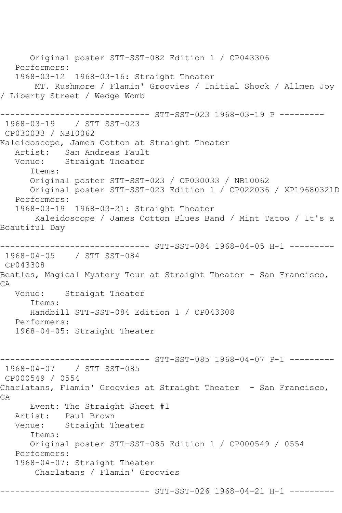Original poster STT-SST-082 Edition 1 / CP043306 Performers: 1968-03-12 1968-03-16: Straight Theater MT. Rushmore / Flamin' Groovies / Initial Shock / Allmen Joy / Liberty Street / Wedge Womb ------------------------------ STT-SST-023 1968-03-19 P --------- 1968-03-19 / STT SST-023 CP030033 / NB10062 Kaleidoscope, James Cotton at Straight Theater Artist: San Andreas Fault<br>Venue: Straight Theater Straight Theater Items: Original poster STT-SST-023 / CP030033 / NB10062 Original poster STT-SST-023 Edition 1 / CP022036 / XP19680321D Performers: 1968-03-19 1968-03-21: Straight Theater Kaleidoscope / James Cotton Blues Band / Mint Tatoo / It's a Beautiful Day ------------------------------ STT-SST-084 1968-04-05 H-1 --------- 1968-04-05 / STT SST-084 CP043308 Beatles, Magical Mystery Tour at Straight Theater - San Francisco, CA Venue: Straight Theater Items: Handbill STT-SST-084 Edition 1 / CP043308 Performers: 1968-04-05: Straight Theater ------------------------------ STT-SST-085 1968-04-07 P-1 --------- 1968-04-07 / STT SST-085 CP000549 / 0554 Charlatans, Flamin' Groovies at Straight Theater - San Francisco, CA Event: The Straight Sheet #1 Artist: Paul Brown<br>Venue: Straight T Straight Theater Items: Original poster STT-SST-085 Edition 1 / CP000549 / 0554 Performers: 1968-04-07: Straight Theater Charlatans / Flamin' Groovies ------- STT-SST-026 1968-04-21 H-1 --------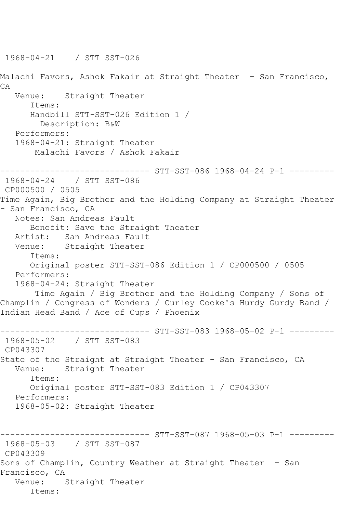1968-04-21 / STT SST-026 Malachi Favors, Ashok Fakair at Straight Theater - San Francisco, CA Venue: Straight Theater Items: Handbill STT-SST-026 Edition 1 / Description: B&W Performers: 1968-04-21: Straight Theater Malachi Favors / Ashok Fakair ------------------------------ STT-SST-086 1968-04-24 P-1 --------- 1968-04-24 / STT SST-086 CP000500 / 0505 Time Again, Big Brother and the Holding Company at Straight Theater - San Francisco, CA Notes: San Andreas Fault Benefit: Save the Straight Theater Artist: San Andreas Fault Venue: Straight Theater Items: Original poster STT-SST-086 Edition 1 / CP000500 / 0505 Performers: 1968-04-24: Straight Theater Time Again / Big Brother and the Holding Company / Sons of Champlin / Congress of Wonders / Curley Cooke's Hurdy Gurdy Band / Indian Head Band / Ace of Cups / Phoenix ------------------------------ STT-SST-083 1968-05-02 P-1 --------- 1968-05-02 / STT SST-083 CP043307 State of the Straight at Straight Theater - San Francisco, CA<br>Venue: Straight Theater Straight Theater Items: Original poster STT-SST-083 Edition 1 / CP043307 Performers: 1968-05-02: Straight Theater ------------- STT-SST-087 1968-05-03 P-1 -------1968-05-03 / STT SST-087 CP043309 Sons of Champlin, Country Weather at Straight Theater - San Francisco, CA Venue: Straight Theater Items: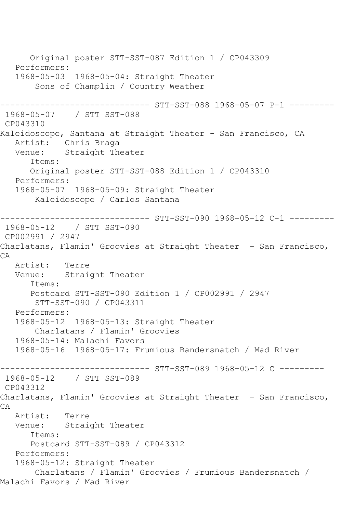Original poster STT-SST-087 Edition 1 / CP043309 Performers: 1968-05-03 1968-05-04: Straight Theater Sons of Champlin / Country Weather ------------------------------ STT-SST-088 1968-05-07 P-1 --------- 1968-05-07 / STT SST-088 CP043310 Kaleidoscope, Santana at Straight Theater - San Francisco, CA Artist: Chris Braga<br>Venue: Straight The Straight Theater Items: Original poster STT-SST-088 Edition 1 / CP043310 Performers: 1968-05-07 1968-05-09: Straight Theater Kaleidoscope / Carlos Santana ------------------------------ STT-SST-090 1968-05-12 C-1 --------- 1968-05-12 / STT SST-090 CP002991 / 2947 Charlatans, Flamin' Groovies at Straight Theater - San Francisco, CA Artist: Terre Venue: Straight Theater Items: Postcard STT-SST-090 Edition 1 / CP002991 / 2947 STT-SST-090 / CP043311 Performers: 1968-05-12 1968-05-13: Straight Theater Charlatans / Flamin' Groovies 1968-05-14: Malachi Favors 1968-05-16 1968-05-17: Frumious Bandersnatch / Mad River ------------------------------ STT-SST-089 1968-05-12 C --------- 1968-05-12 / STT SST-089 CP043312 Charlatans, Flamin' Groovies at Straight Theater - San Francisco, CA Artist: Terre Venue: Straight Theater Items: Postcard STT-SST-089 / CP043312 Performers: 1968-05-12: Straight Theater Charlatans / Flamin' Groovies / Frumious Bandersnatch / Malachi Favors / Mad River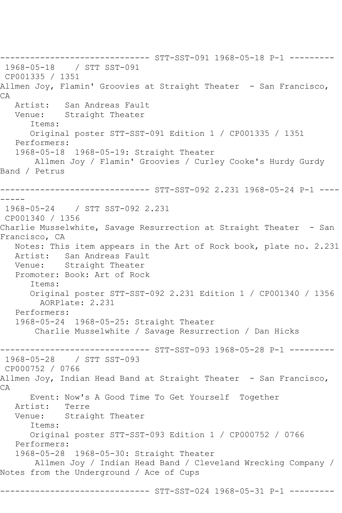------------------------------ STT-SST-091 1968-05-18 P-1 --------- 1968-05-18 / STT SST-091 CP001335 / 1351 Allmen Joy, Flamin' Groovies at Straight Theater - San Francisco, CA Artist: San Andreas Fault Venue: Straight Theater Items: Original poster STT-SST-091 Edition 1 / CP001335 / 1351 Performers: 1968-05-18 1968-05-19: Straight Theater Allmen Joy / Flamin' Groovies / Curley Cooke's Hurdy Gurdy Band / Petrus ------------------------------ STT-SST-092 2.231 1968-05-24 P-1 ---- ----- 1968-05-24 / STT SST-092 2.231 CP001340 / 1356 Charlie Musselwhite, Savage Resurrection at Straight Theater - San Francisco, CA Notes: This item appears in the Art of Rock book, plate no. 2.231 Artist: San Andreas Fault Venue: Straight Theater Promoter: Book: Art of Rock Items: Original poster STT-SST-092 2.231 Edition 1 / CP001340 / 1356 AORPlate: 2.231 Performers: 1968-05-24 1968-05-25: Straight Theater Charlie Musselwhite / Savage Resurrection / Dan Hicks ------------------------------ STT-SST-093 1968-05-28 P-1 --------- 1968-05-28 / STT SST-093 CP000752 / 0766 Allmen Joy, Indian Head Band at Straight Theater - San Francisco, CA Event: Now's A Good Time To Get Yourself Together Artist: Terre Venue: Straight Theater Items: Original poster STT-SST-093 Edition 1 / CP000752 / 0766 Performers: 1968-05-28 1968-05-30: Straight Theater Allmen Joy / Indian Head Band / Cleveland Wrecking Company / Notes from the Underground / Ace of Cups ------------------------------ STT-SST-024 1968-05-31 P-1 ---------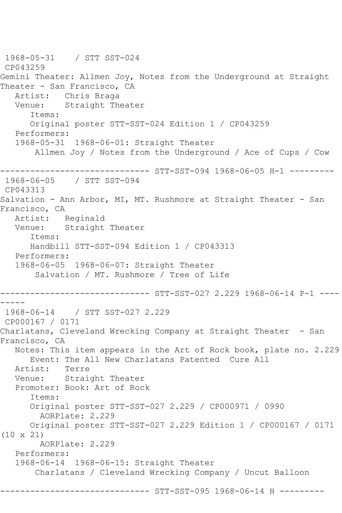1968-05-31 / STT SST-024 CP043259 Gemini Theater: Allmen Joy, Notes from the Underground at Straight Theater - San Francisco, CA Artist: Chris Braga Venue: Straight Theater Items: Original poster STT-SST-024 Edition 1 / CP043259 Performers: 1968-05-31 1968-06-01: Straight Theater Allmen Joy / Notes from the Underground / Ace of Cups / Cow ------------------------------ STT-SST-094 1968-06-05 H-1 --------- 1968-06-05 / STT SST-094 CP043313 Salvation - Ann Arbor, MI, MT. Rushmore at Straight Theater - San Francisco, CA Artist: Reginald Venue: Straight Theater Items: Handbill STT-SST-094 Edition 1 / CP043313 Performers: 1968-06-05 1968-06-07: Straight Theater Salvation / MT. Rushmore / Tree of Life ------------------------------ STT-SST-027 2.229 1968-06-14 P-1 ---- ----- 1968-06-14 / STT SST-027 2.229 CP000167 / 0171 Charlatans, Cleveland Wrecking Company at Straight Theater - San Francisco, CA Notes: This item appears in the Art of Rock book, plate no. 2.229 Event: The All New Charlatans Patented Cure All<br>ist: Terre Artist: Venue: Straight Theater Promoter: Book: Art of Rock Items: Original poster STT-SST-027 2.229 / CP000971 / 0990 AORPlate: 2.229 Original poster STT-SST-027 2.229 Edition 1 / CP000167 / 0171 (10 x 21) AORPlate: 2.229 Performers: 1968-06-14 1968-06-15: Straight Theater Charlatans / Cleveland Wrecking Company / Uncut Balloon -------- STT-SST-095 1968-06-14 H ---------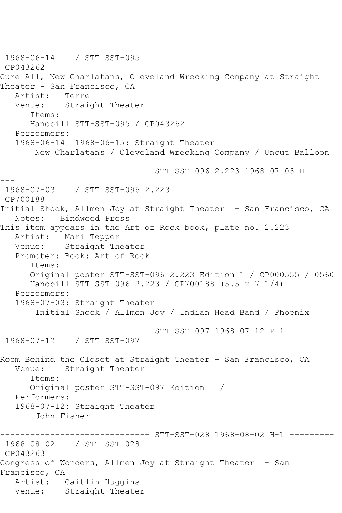1968-06-14 / STT SST-095 CP043262 Cure All, New Charlatans, Cleveland Wrecking Company at Straight Theater - San Francisco, CA Artist: Terre Venue: Straight Theater Items: Handbill STT-SST-095 / CP043262 Performers: 1968-06-14 1968-06-15: Straight Theater New Charlatans / Cleveland Wrecking Company / Uncut Balloon ------------------------------ STT-SST-096 2.223 1968-07-03 H ------  $---$ 1968-07-03 / STT SST-096 2.223 CP700188 Initial Shock, Allmen Joy at Straight Theater - San Francisco, CA Notes: Bindweed Press This item appears in the Art of Rock book, plate no. 2.223 Artist: Mari Tepper Venue: Straight Theater Promoter: Book: Art of Rock Items: Original poster STT-SST-096 2.223 Edition 1 / CP000555 / 0560 Handbill STT-SST-096 2.223 / CP700188 (5.5 x 7-1/4) Performers: 1968-07-03: Straight Theater Initial Shock / Allmen Joy / Indian Head Band / Phoenix ------------------------------ STT-SST-097 1968-07-12 P-1 --------- 1968-07-12 / STT SST-097 Room Behind the Closet at Straight Theater - San Francisco, CA<br>Venue: Straight Theater Straight Theater Items: Original poster STT-SST-097 Edition 1 / Performers: 1968-07-12: Straight Theater John Fisher ------------ STT-SST-028 1968-08-02 H-1 --------1968-08-02 / STT SST-028 CP043263 Congress of Wonders, Allmen Joy at Straight Theater - San Francisco, CA Artist: Caitlin Huggins Venue: Straight Theater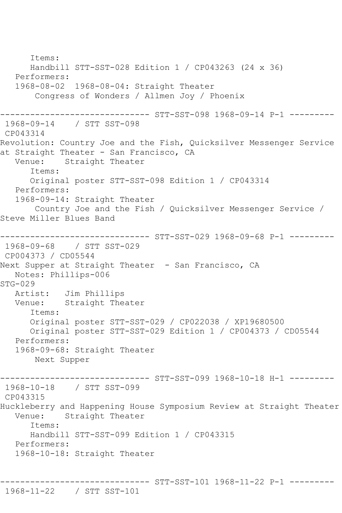Items: Handbill STT-SST-028 Edition 1 / CP043263 (24 x 36) Performers: 1968-08-02 1968-08-04: Straight Theater Congress of Wonders / Allmen Joy / Phoenix ------------------------------ STT-SST-098 1968-09-14 P-1 --------- 1968-09-14 / STT SST-098 CP043314 Revolution: Country Joe and the Fish, Quicksilver Messenger Service at Straight Theater - San Francisco, CA<br>Venue: Straight Theater Straight Theater Items: Original poster STT-SST-098 Edition 1 / CP043314 Performers: 1968-09-14: Straight Theater Country Joe and the Fish / Quicksilver Messenger Service / Steve Miller Blues Band ------------------------------ STT-SST-029 1968-09-68 P-1 --------- 1968-09-68 / STT SST-029 CP004373 / CD05544 Next Supper at Straight Theater - San Francisco, CA Notes: Phillips-006 STG-029 Artist: Jim Phillips Venue: Straight Theater Items: Original poster STT-SST-029 / CP022038 / XP19680500 Original poster STT-SST-029 Edition 1 / CP004373 / CD05544 Performers: 1968-09-68: Straight Theater Next Supper ---- STT-SST-099 1968-10-18 H-1 ---------1968-10-18 / STT SST-099 CP043315 Huckleberry and Happening House Symposium Review at Straight Theater Venue: Straight Theater Items: Handbill STT-SST-099 Edition 1 / CP043315 Performers: 1968-10-18: Straight Theater ------------------------------ STT-SST-101 1968-11-22 P-1 ---------

1968-11-22 / STT SST-101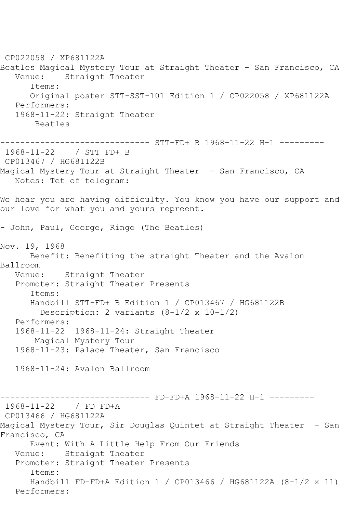CP022058 / XP681122A Beatles Magical Mystery Tour at Straight Theater - San Francisco, CA Venue: Straight Theater Items: Original poster STT-SST-101 Edition 1 / CP022058 / XP681122A Performers: 1968-11-22: Straight Theater Beatles ------------------------------ STT-FD+ B 1968-11-22 H-1 --------- 1968-11-22 / STT FD+ B CP013467 / HG681122B Magical Mystery Tour at Straight Theater - San Francisco, CA Notes: Tet of telegram: We hear you are having difficulty. You know you have our support and our love for what you and yours repreent. - John, Paul, George, Ringo (The Beatles) Nov. 19, 1968 Benefit: Benefiting the straight Theater and the Avalon Ballroom Venue: Straight Theater Promoter: Straight Theater Presents Items: Handbill STT-FD+ B Edition 1 / CP013467 / HG681122B Description: 2 variants (8-1/2 x 10-1/2) Performers: 1968-11-22 1968-11-24: Straight Theater Magical Mystery Tour 1968-11-23: Palace Theater, San Francisco 1968-11-24: Avalon Ballroom ------------------------------ FD-FD+A 1968-11-22 H-1 --------- 1968-11-22 / FD FD+A CP013466 / HG681122A Magical Mystery Tour, Sir Douglas Quintet at Straight Theater - San Francisco, CA Event: With A Little Help From Our Friends Venue: Straight Theater Promoter: Straight Theater Presents Items: Handbill FD-FD+A Edition 1 / CP013466 / HG681122A (8-1/2 x 11) Performers: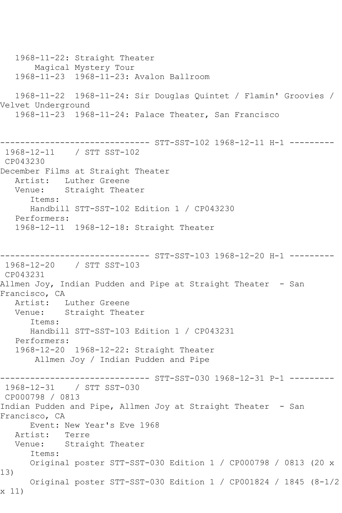1968-11-22: Straight Theater Magical Mystery Tour 1968-11-23 1968-11-23: Avalon Ballroom 1968-11-22 1968-11-24: Sir Douglas Quintet / Flamin' Groovies / Velvet Underground 1968-11-23 1968-11-24: Palace Theater, San Francisco ------------------------------ STT-SST-102 1968-12-11 H-1 --------- 1968-12-11 / STT SST-102 CP043230 December Films at Straight Theater Artist: Luther Greene Venue: Straight Theater Items: Handbill STT-SST-102 Edition 1 / CP043230 Performers: 1968-12-11 1968-12-18: Straight Theater -------------- STT-SST-103 1968-12-20 H-1 ---------1968-12-20 / STT SST-103 CP043231 Allmen Joy, Indian Pudden and Pipe at Straight Theater - San Francisco, CA Artist: Luther Greene Venue: Straight Theater Items: Handbill STT-SST-103 Edition 1 / CP043231 Performers: 1968-12-20 1968-12-22: Straight Theater Allmen Joy / Indian Pudden and Pipe ------------------------------ STT-SST-030 1968-12-31 P-1 --------- 1968-12-31 / STT SST-030 CP000798 / 0813 Indian Pudden and Pipe, Allmen Joy at Straight Theater - San Francisco, CA Event: New Year's Eve 1968 Artist: Terre Venue: Straight Theater Items: Original poster STT-SST-030 Edition 1 / CP000798 / 0813 (20 x 13) Original poster STT-SST-030 Edition 1 / CP001824 / 1845 (8-1/2 x 11)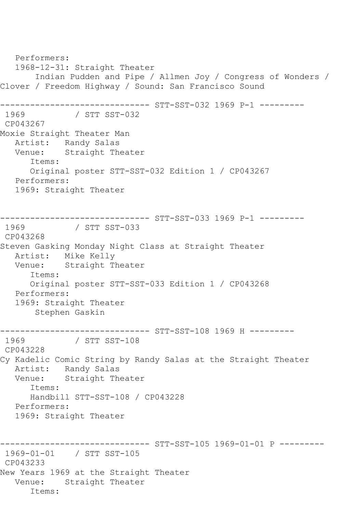Performers: 1968-12-31: Straight Theater Indian Pudden and Pipe / Allmen Joy / Congress of Wonders / Clover / Freedom Highway / Sound: San Francisco Sound ------------------------------ STT-SST-032 1969 P-1 ---------<br>1969 / STT SST-032 1969 / STT SST-032 CP043267 Moxie Straight Theater Man Artist: Randy Salas Venue: Straight Theater Items: Original poster STT-SST-032 Edition 1 / CP043267 Performers: 1969: Straight Theater ------------------------------ STT-SST-033 1969 P-1 ---------<br>1969 / STT SST-033 1969 / STT SST-033 CP043268 Steven Gasking Monday Night Class at Straight Theater Artist: Mike Kelly<br>Venue: Straight T Straight Theater Items: Original poster STT-SST-033 Edition 1 / CP043268 Performers: 1969: Straight Theater Stephen Gaskin ------------------------------- STT-SST-108 1969 H ---------<br>1969 / STT SST-108 1969 / STT SST-108 CP043228 Cy Kadelic Comic String by Randy Salas at the Straight Theater Artist: Randy Salas Venue: Straight Theater Items: Handbill STT-SST-108 / CP043228 Performers: 1969: Straight Theater ------------------------------ STT-SST-105 1969-01-01 P --------- 1969-01-01 / STT SST-105 CP043233 New Years 1969 at the Straight Theater Venue: Straight Theater Items: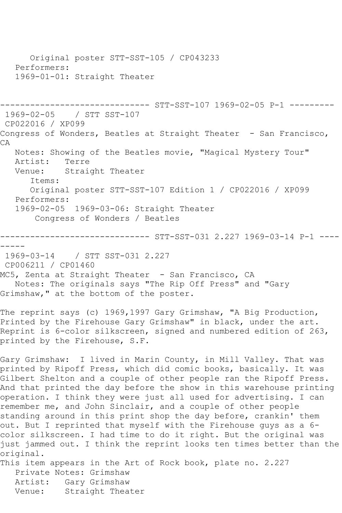Original poster STT-SST-105 / CP043233 Performers: 1969-01-01: Straight Theater --------- STT-SST-107 1969-02-05 P-1 ---------1969-02-05 / STT SST-107 CP022016 / XP099 Congress of Wonders, Beatles at Straight Theater - San Francisco, CA Notes: Showing of the Beatles movie, "Magical Mystery Tour"<br>Artist: Terre Artist:<br>Venue: Straight Theater Items: Original poster STT-SST-107 Edition 1 / CP022016 / XP099 Performers: 1969-02-05 1969-03-06: Straight Theater Congress of Wonders / Beatles ------------------------------ STT-SST-031 2.227 1969-03-14 P-1 ---- ----- 1969-03-14 / STT SST-031 2.227 CP006211 / CP01460 MC5, Zenta at Straight Theater - San Francisco, CA Notes: The originals says "The Rip Off Press" and "Gary Grimshaw," at the bottom of the poster. The reprint says (c) 1969,1997 Gary Grimshaw, "A Big Production, Printed by the Firehouse Gary Grimshaw" in black, under the art. Reprint is 6-color silkscreen, signed and numbered edition of 263, printed by the Firehouse, S.F. Gary Grimshaw: I lived in Marin County, in Mill Valley. That was printed by Ripoff Press, which did comic books, basically. It was Gilbert Shelton and a couple of other people ran the Ripoff Press. And that printed the day before the show in this warehouse printing operation. I think they were just all used for advertising. I can remember me, and John Sinclair, and a couple of other people standing around in this print shop the day before, crankin' them out. But I reprinted that myself with the Firehouse guys as a 6 color silkscreen. I had time to do it right. But the original was just jammed out. I think the reprint looks ten times better than the original. This item appears in the Art of Rock book, plate no. 2.227 Private Notes: Grimshaw Artist: Gary Grimshaw Venue: Straight Theater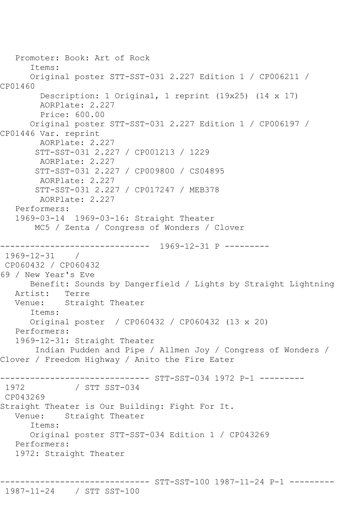Promoter: Book: Art of Rock Items: Original poster STT-SST-031 2.227 Edition 1 / CP006211 / CP01460 Description: 1 Original, 1 reprint (19x25) (14 x 17) AORPlate: 2.227 Price: 600.00 Original poster STT-SST-031 2.227 Edition 1 / CP006197 / CP01446 Var. reprint AORPlate: 2.227 STT-SST-031 2.227 / CP001213 / 1229 AORPlate: 2.227 STT-SST-031 2.227 / CP009800 / CS04895 AORPlate: 2.227 STT-SST-031 2.227 / CP017247 / MEB378 AORPlate: 2.227 Performers: 1969-03-14 1969-03-16: Straight Theater MC5 / Zenta / Congress of Wonders / Clover ------------------------------ 1969-12-31 P --------- 1969-12-31 / CP060432 / CP060432 69 / New Year's Eve Benefit: Sounds by Dangerfield / Lights by Straight Lightning Artist: Terre Venue: Straight Theater Items: Original poster / CP060432 / CP060432 (13 x 20) Performers: 1969-12-31: Straight Theater Indian Pudden and Pipe / Allmen Joy / Congress of Wonders / Clover / Freedom Highway / Anito the Fire Eater ------------------------------ STT-SST-034 1972 P-1 ----------<br>1972 / STT SST-034 1972 / STT SST-034 CP043269 Straight Theater is Our Building: Fight For It. Venue: Straight Theater Items: Original poster STT-SST-034 Edition 1 / CP043269 Performers: 1972: Straight Theater

------------------------------ STT-SST-100 1987-11-24 P-1 ---------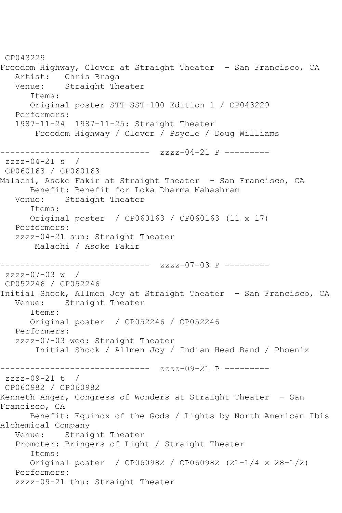CP043229 Freedom Highway, Clover at Straight Theater - San Francisco, CA Artist: Chris Braga Venue: Straight Theater Items: Original poster STT-SST-100 Edition 1 / CP043229 Performers: 1987-11-24 1987-11-25: Straight Theater Freedom Highway / Clover / Psycle / Doug Williams ------------------------------ zzzz-04-21 P -------- zzzz-04-21 s / CP060163 / CP060163 Malachi, Asoke Fakir at Straight Theater - San Francisco, CA Benefit: Benefit for Loka Dharma Mahashram Venue: Straight Theater Items: Original poster / CP060163 / CP060163 (11 x 17) Performers: zzzz-04-21 sun: Straight Theater Malachi / Asoke Fakir ------------------------------ zzzz-07-03 P -------- zzzz-07-03 w / CP052246 / CP052246 Initial Shock, Allmen Joy at Straight Theater - San Francisco, CA<br>Venue: Straight Theater Straight Theater Items: Original poster / CP052246 / CP052246 Performers: zzzz-07-03 wed: Straight Theater Initial Shock / Allmen Joy / Indian Head Band / Phoenix ------------------------------ zzzz-09-21 P -------- zzzz-09-21 t / CP060982 / CP060982 Kenneth Anger, Congress of Wonders at Straight Theater - San Francisco, CA Benefit: Equinox of the Gods / Lights by North American Ibis Alchemical Company<br>Venue: Strai Straight Theater Promoter: Bringers of Light / Straight Theater Items: Original poster / CP060982 / CP060982 (21-1/4 x 28-1/2) Performers: zzzz-09-21 thu: Straight Theater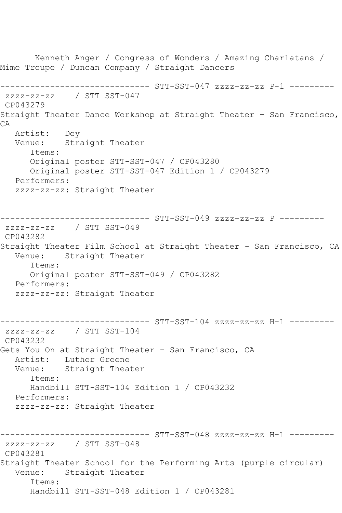Kenneth Anger / Congress of Wonders / Amazing Charlatans / Mime Troupe / Duncan Company / Straight Dancers ------------------------------ STT-SST-047 zzzz-zz-zz P-1 -------- zzzz-zz-zz / STT SST-047 CP043279 Straight Theater Dance Workshop at Straight Theater - San Francisco, CA Artist: Dey Venue: Straight Theater Items: Original poster STT-SST-047 / CP043280 Original poster STT-SST-047 Edition 1 / CP043279 Performers: zzzz-zz-zz: Straight Theater ------------------------------ STT-SST-049 zzzz-zz-zz P -------- zzzz-zz-zz / STT SST-049 CP043282 Straight Theater Film School at Straight Theater - San Francisco, CA<br>Venue: Straight Theater Straight Theater Items: Original poster STT-SST-049 / CP043282 Performers: zzzz-zz-zz: Straight Theater ------------------------------ STT-SST-104 zzzz-zz-zz H-1 -------- zzzz-zz-zz / STT SST-104 CP043232 Gets You On at Straight Theater - San Francisco, CA Artist: Luther Greene<br>Venue: Straight Thea Straight Theater Items: Handbill STT-SST-104 Edition 1 / CP043232 Performers: zzzz-zz-zz: Straight Theater ------------------------------ STT-SST-048 zzzz-zz-zz H-1 -------- zzzz-zz-zz / STT SST-048 CP043281 Straight Theater School for the Performing Arts (purple circular) Venue: Straight Theater Items: Handbill STT-SST-048 Edition 1 / CP043281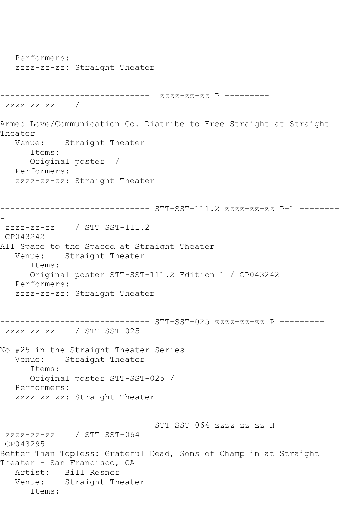Performers: zzzz-zz-zz: Straight Theater ------------------------------ zzzz-zz-zz P -------- zzzz-zz-zz / Armed Love/Communication Co. Diatribe to Free Straight at Straight Theater Venue: Straight Theater Items: Original poster / Performers: zzzz-zz-zz: Straight Theater ------------------------------ STT-SST-111.2 zzzz-zz-zz P-1 -------- zzzz-zz-zz / STT SST-111.2 CP043242 All Space to the Spaced at Straight Theater Venue: Straight Theater Items: Original poster STT-SST-111.2 Edition 1 / CP043242 Performers: zzzz-zz-zz: Straight Theater ------------------------------ STT-SST-025 zzzz-zz-zz P -------- zzzz-zz-zz / STT SST-025 No #25 in the Straight Theater Series Venue: Straight Theater Items: Original poster STT-SST-025 / Performers: zzzz-zz-zz: Straight Theater ------------------------------ STT-SST-064 zzzz-zz-zz H -------- zzzz-zz-zz / STT SST-064 CP043295 Better Than Topless: Grateful Dead, Sons of Champlin at Straight Theater - San Francisco, CA Artist: Bill Resner Venue: Straight Theater Items: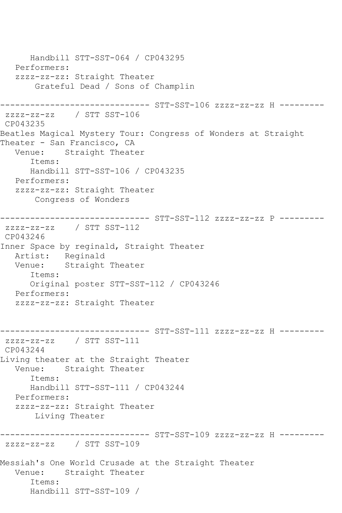Handbill STT-SST-064 / CP043295 Performers: zzzz-zz-zz: Straight Theater Grateful Dead / Sons of Champlin ------------------------------ STT-SST-106 zzzz-zz-zz H -------- zzzz-zz-zz / STT SST-106 CP043235 Beatles Magical Mystery Tour: Congress of Wonders at Straight Theater - San Francisco, CA<br>Venue: Straight Theate Straight Theater Items: Handbill STT-SST-106 / CP043235 Performers: zzzz-zz-zz: Straight Theater Congress of Wonders ------------------------------ STT-SST-112 zzzz-zz-zz P -------- zzzz-zz-zz / STT SST-112 CP043246 Inner Space by reginald, Straight Theater<br>Artist: Reginald Reginald Venue: Straight Theater Items: Original poster STT-SST-112 / CP043246 Performers: zzzz-zz-zz: Straight Theater ------------------------------ STT-SST-111 zzzz-zz-zz H -------- zzzz-zz-zz / STT SST-111 CP043244 Living theater at the Straight Theater Venue: Straight Theater Items: Handbill STT-SST-111 / CP043244 Performers: zzzz-zz-zz: Straight Theater Living Theater ------------------------------ STT-SST-109 zzzz-zz-zz H -------- zzzz-zz-zz / STT SST-109 Messiah's One World Crusade at the Straight Theater Venue: Straight Theater Items: Handbill STT-SST-109 /